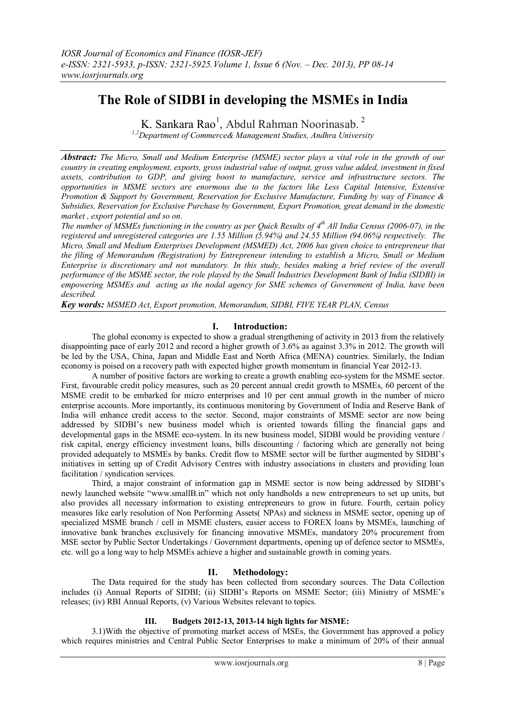# **The Role of SIDBI in developing the MSMEs in India**

K. Sankara Rao<sup>1</sup>, Abdul Rahman Noorinasab.<sup>2</sup>

*1,2Department of Commerce& Management Studies, Andhra University*

*Abstract: The Micro, Small and Medium Enterprise (MSME) sector plays a vital role in the growth of our country in creating employment, exports, gross industrial value of output, gross value added, investment in fixed assets, contribution to GDP, and giving boost to manufacture, service and infrastructure sectors. The opportunities in MSME sectors are enormous due to the factors like Less Capital Intensive, Extensive Promotion & Support by Government, Reservation for Exclusive Manufacture, Funding by way of Finance & Subsidies, Reservation for Exclusive Purchase by Government, Export Promotion, great demand in the domestic market , export potential and so on.* 

*The number of MSMEs functioning in the country as per Quick Results of 4 th All India Census (2006-07), in the registered and unregistered categories are 1.55 Million (5.94%) and 24.55 Million (94.06%) respectively. The Micro, Small and Medium Enterprises Development (MSMED) Act, 2006 has given choice to entrepreneur that the filing of Memorandum (Registration) by Entrepreneur intending to establish a Micro, Small or Medium Enterprise is discretionary and not mandatory. In this study, besides making a brief review of the overall performance of the MSME sector, the role played by the Small Industries Development Bank of India (SIDBI) in empowering MSMEs and acting as the nodal agency for SME schemes of Government of India, have been described.*

*Key words: MSMED Act, Export promotion, Memorandum, SIDBI, FIVE YEAR PLAN, Census*

## **I. Introduction:**

The global economy is expected to show a gradual strengthening of activity in 2013 from the relatively disappointing pace of early 2012 and record a higher growth of 3.6% as against 3.3% in 2012. The growth will be led by the USA, China, Japan and Middle East and North Africa (MENA) countries. Similarly, the Indian economy is poised on a recovery path with expected higher growth momentum in financial Year 2012-13.

A number of positive factors are working to create a growth enabling eco-system for the MSME sector. First, favourable credit policy measures, such as 20 percent annual credit growth to MSMEs, 60 percent of the MSME credit to be embarked for micro enterprises and 10 per cent annual growth in the number of micro enterprise accounts. More importantly, its continuous monitoring by Government of India and Reserve Bank of India will enhance credit access to the sector. Second, major constraints of MSME sector are now being addressed by SIDBI's new business model which is oriented towards filling the financial gaps and developmental gaps in the MSME eco-system. In its new business model, SIDBI would be providing venture / risk capital, energy efficiency investment loans, bills discounting / factoring which are generally not being provided adequately to MSMEs by banks. Credit flow to MSME sector will be further augmented by SIDBI's initiatives in setting up of Credit Advisory Centres with industry associations in clusters and providing loan facilitation / syndication services.

Third, a major constraint of information gap in MSME sector is now being addressed by SIDBI's newly launched website "www.smallB.in" which not only handholds a new entrepreneurs to set up units, but also provides all necessary information to existing entrepreneurs to grow in future. Fourth, certain policy measures like early resolution of Non Performing Assets( NPAs) and sickness in MSME sector, opening up of specialized MSME branch / cell in MSME clusters, easier access to FOREX loans by MSMEs, launching of innovative bank branches exclusively for financing innovative MSMEs, mandatory 20% procurement from MSE sector by Public Sector Undertakings / Government departments, opening up of defence sector to MSMEs, etc. will go a long way to help MSMEs achieve a higher and sustainable growth in coming years.

# **II. Methodology:**

The Data required for the study has been collected from secondary sources. The Data Collection includes (i) Annual Reports of SIDBI; (ii) SIDBI's Reports on MSME Sector; (iii) Ministry of MSME's releases; (iv) RBI Annual Reports, (v) Various Websites relevant to topics.

# **III. Budgets 2012-13, 2013-14 high lights for MSME:**

3.1)With the objective of promoting market access of MSEs, the Government has approved a policy which requires ministries and Central Public Sector Enterprises to make a minimum of 20% of their annual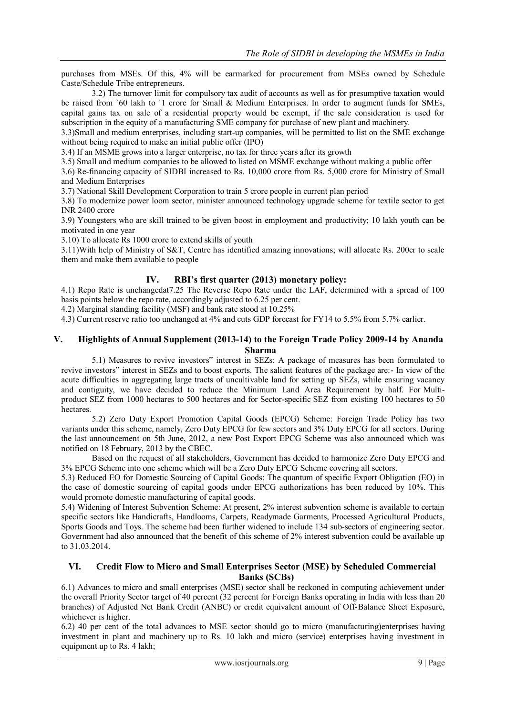purchases from MSEs. Of this, 4% will be earmarked for procurement from MSEs owned by Schedule Caste/Schedule Tribe entrepreneurs.

3.2) The turnover limit for compulsory tax audit of accounts as well as for presumptive taxation would be raised from `60 lakh to `1 crore for Small & Medium Enterprises. In order to augment funds for SMEs, capital gains tax on sale of a residential property would be exempt, if the sale consideration is used for subscription in the equity of a manufacturing SME company for purchase of new plant and machinery.

3.3)Small and medium enterprises, including start-up companies, will be permitted to list on the SME exchange without being required to make an initial public offer (IPO)

3.4) If an MSME grows into a larger enterprise, no tax for three years after its growth

3.5) Small and medium companies to be allowed to listed on MSME exchange without making a public offer

3.6) Re-financing capacity of SIDBI increased to Rs. 10,000 crore from Rs. 5,000 crore for Ministry of Small and Medium Enterprises

3.7) National Skill Development Corporation to train 5 crore people in current plan period

3.8) To modernize power loom sector, minister announced technology upgrade scheme for textile sector to get INR 2400 crore

3.9) Youngsters who are skill trained to be given boost in employment and productivity; 10 lakh youth can be motivated in one year

3.10) To allocate Rs 1000 crore to extend skills of youth

3.11)With help of Ministry of S&T, Centre has identified amazing innovations; will allocate Rs. 200cr to scale them and make them available to people

# **IV. RBI's first quarter (2013) monetary policy:**

4.1) Repo Rate is unchangedat7.25 The Reverse Repo Rate under the LAF, determined with a spread of 100 basis points below the repo rate, accordingly adjusted to 6.25 per cent.

4.2) Marginal standing facility (MSF) and bank rate stood at 10.25%

4.3) Current reserve ratio too unchanged at 4% and cuts GDP forecast for FY14 to 5.5% from 5.7% earlier.

## **V. Highlights of Annual Supplement (2013-14) to the Foreign Trade Policy 2009-14 by Ananda Sharma**

5.1) Measures to revive investors" interest in SEZs: A package of measures has been formulated to revive investors" interest in SEZs and to boost exports. The salient features of the package are:- In view of the acute difficulties in aggregating large tracts of uncultivable land for setting up SEZs, while ensuring vacancy and contiguity, we have decided to reduce the Minimum Land Area Requirement by half. For Multiproduct SEZ from 1000 hectares to 500 hectares and for Sector-specific SEZ from existing 100 hectares to 50 **hectares** 

5.2) Zero Duty Export Promotion Capital Goods (EPCG) Scheme: Foreign Trade Policy has two variants under this scheme, namely, Zero Duty EPCG for few sectors and 3% Duty EPCG for all sectors. During the last announcement on 5th June, 2012, a new Post Export EPCG Scheme was also announced which was notified on 18 February, 2013 by the CBEC.

Based on the request of all stakeholders, Government has decided to harmonize Zero Duty EPCG and 3% EPCG Scheme into one scheme which will be a Zero Duty EPCG Scheme covering all sectors.

5.3) Reduced EO for Domestic Sourcing of Capital Goods: The quantum of specific Export Obligation (EO) in the case of domestic sourcing of capital goods under EPCG authorizations has been reduced by 10%. This would promote domestic manufacturing of capital goods.

5.4) Widening of Interest Subvention Scheme: At present, 2% interest subvention scheme is available to certain specific sectors like Handicrafts, Handlooms, Carpets, Readymade Garments, Processed Agricultural Products, Sports Goods and Toys. The scheme had been further widened to include 134 sub-sectors of engineering sector. Government had also announced that the benefit of this scheme of 2% interest subvention could be available up to 31.03.2014.

## **VI. Credit Flow to Micro and Small Enterprises Sector (MSE) by Scheduled Commercial Banks (SCBs)**

6.1) Advances to micro and small enterprises (MSE) sector shall be reckoned in computing achievement under the overall Priority Sector target of 40 percent (32 percent for Foreign Banks operating in India with less than 20 branches) of Adjusted Net Bank Credit (ANBC) or credit equivalent amount of Off‐Balance Sheet Exposure, whichever is higher.

6.2) 40 per cent of the total advances to MSE sector should go to micro (manufacturing)enterprises having investment in plant and machinery up to Rs. 10 lakh and micro (service) enterprises having investment in equipment up to Rs. 4 lakh;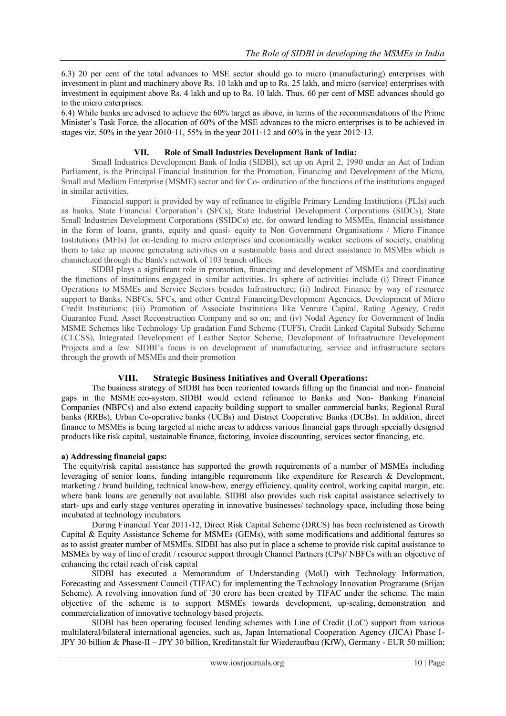6.3) 20 per cent of the total advances to MSE sector should go to micro (manufacturing) enterprises with investment in plant and machinery above Rs. 10 lakh and up to Rs. 25 lakh, and micro (service) enterprises with investment in equipment above Rs. 4 lakh and up to Rs. 10 lakh. Thus, 60 per cent of MSE advances should go to the micro enterprises.

6.4) While banks are advised to achieve the 60% target as above, in terms of the recommendations of the Prime Minister's Task Force, the allocation of 60% of the MSE advances to the micro enterprises is to be achieved in stages viz. 50% in the year 2010‐11, 55% in the year 2011‐12 and 60% in the year 2012‐13.

#### **VII. Role of Small Industries Development Bank of India:**

Small Industries Development Bank of India (SIDBI), set up on April 2, 1990 under an Act of Indian Parliament, is the Principal Financial Institution for the Promotion, Financing and Development of the Micro, Small and Medium Enterprise (MSME) sector and for Co- ordination of the functions of the institutions engaged in similar activities.

Financial support is provided by way of refinance to eligible Primary Lending Institutions (PLIs) such as banks, State Financial Corporation's (SFCs), State Industrial Development Corporations (SIDCs), State Small Industries Development Corporations (SSIDCs) etc. for onward lending to MSMEs, financial assistance in the form of loans, grants, equity and quasi- equity to Non Government Organisations / Micro Finance Institutions (MFIs) for on-lending to micro enterprises and economically weaker sections of society, enabling them to take up income generating activities on a sustainable basis and direct assistance to MSMEs which is channelized through the Bank's network of 103 branch offices.

SIDBI plays a significant role in promotion, financing and development of MSMEs and coordinating the functions of institutions engaged in similar activities. Its sphere of activities include (i) Direct Finance Operations to MSMEs and Service Sectors besides Infrastructure; (ii) Indirect Finance by way of resource support to Banks, NBFCs, SFCs, and other Central Financing/Development Agencies, Development of Micro Credit Institutions; (iii) Promotion of Associate Institutions like Venture Capital, Rating Agency, Credit Guarantee Fund, Asset Reconstruction Company and so on; and (iv) Nodal Agency for Government of India MSME Schemes like Technology Up gradation Fund Scheme (TUFS), Credit Linked Capital Subsidy Scheme (CLCSS), Integrated Development of Leather Sector Scheme, Development of Infrastructure Development Projects and a few. SIDBI's focus is on development of manufacturing, service and infrastructure sectors through the growth of MSMEs and their promotion

## **VIII. Strategic Business Initiatives and Overall Operations:**

The business strategy of SIDBI has been reoriented towards filling up the financial and non- financial gaps in the MSME eco-system. SIDBI would extend refinance to Banks and Non- Banking Financial Companies (NBFCs) and also extend capacity building support to smaller commercial banks, Regional Rural banks (RRBs), Urban Co-operative banks (UCBs) and District Cooperative Banks (DCBs). In addition, direct finance to MSMEs is being targeted at niche areas to address various financial gaps through specially designed products like risk capital, sustainable finance, factoring, invoice discounting, services sector financing, etc.

## **a) Addressing financial gaps:**

The equity/risk capital assistance has supported the growth requirements of a number of MSMEs including leveraging of senior loans, funding intangible requirements like expenditure for Research & Development, marketing / brand building, technical know-how, energy efficiency, quality control, working capital margin, etc. where bank loans are generally not available. SIDBI also provides such risk capital assistance selectively to start- ups and early stage ventures operating in innovative businesses/ technology space, including those being incubated at technology incubators.

During Financial Year 2011-12, Direct Risk Capital Scheme (DRCS) has been rechristened as Growth Capital & Equity Assistance Scheme for MSMEs (GEMs), with some modifications and additional features so as to assist greater number of MSMEs. SIDBI has also put in place a scheme to provide risk capital assistance to MSMEs by way of line of credit / resource support through Channel Partners (CPs)/ NBFCs with an objective of enhancing the retail reach of risk capital

SIDBI has executed a Memorandum of Understanding (MoU) with Technology Information, Forecasting and Assessment Council (TIFAC) for implementing the Technology Innovation Programme (Srijan Scheme). A revolving innovation fund of '30 crore has been created by TIFAC under the scheme. The main objective of the scheme is to support MSMEs towards development, up-scaling, demonstration and commercialization of innovative technology based projects.

SIDBI has been operating focused lending schemes with Line of Credit (LoC) support from various multilateral/bilateral international agencies, such as, Japan International Cooperation Agency (JICA) Phase I-JPY 30 billion & Phase-II – JPY 30 billion, Kreditanstalt fur Wiederaufbau (KfW), Germany - EUR 50 million;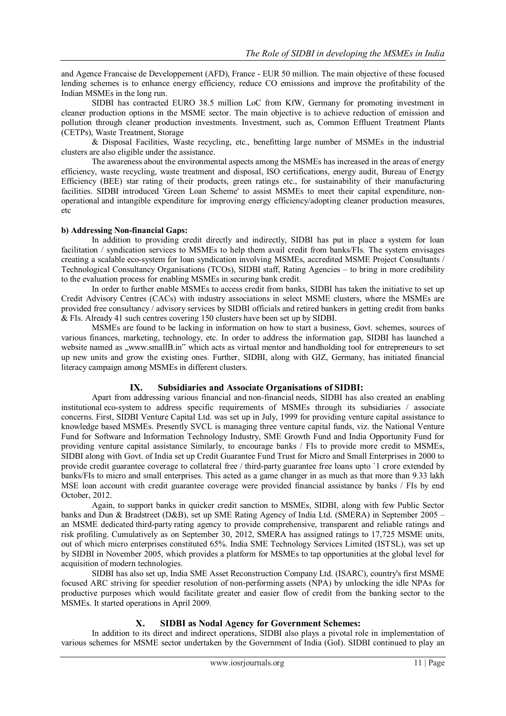and Agence Francaise de Developpement (AFD), France - EUR 50 million. The main objective of these focused lending schemes is to enhance energy efficiency, reduce CO emissions and improve the profitability of the Indian MSMEs in the long run.

SIDBI has contracted EURO 38.5 million LoC from KfW, Germany for promoting investment in cleaner production options in the MSME sector. The main objective is to achieve reduction of emission and pollution through cleaner production investments. Investment, such as, Common Effluent Treatment Plants (CETPs), Waste Treatment, Storage

& Disposal Facilities, Waste recycling, etc., benefitting large number of MSMEs in the industrial clusters are also eligible under the assistance.

The awareness about the environmental aspects among the MSMEs has increased in the areas of energy efficiency, waste recycling, waste treatment and disposal, ISO certifications, energy audit, Bureau of Energy Efficiency (BEE) star rating of their products, green ratings etc., for sustainability of their manufacturing facilities. SIDBI introduced 'Green Loan Scheme' to assist MSMEs to meet their capital expenditure, nonoperational and intangible expenditure for improving energy efficiency/adopting cleaner production measures, etc

#### **b) Addressing Non-financial Gaps:**

In addition to providing credit directly and indirectly, SIDBI has put in place a system for loan facilitation / syndication services to MSMEs to help them avail credit from banks/FIs. The system envisages creating a scalable eco-system for loan syndication involving MSMEs, accredited MSME Project Consultants / Technological Consultancy Organisations (TCOs), SIDBI staff, Rating Agencies – to bring in more credibility to the evaluation process for enabling MSMEs in securing bank credit.

In order to further enable MSMEs to access credit from banks, SIDBI has taken the initiative to set up Credit Advisory Centres (CACs) with industry associations in select MSME clusters, where the MSMEs are provided free consultancy / advisory services by SIDBI officials and retired bankers in getting credit from banks & FIs. Already 41 such centres covering 150 clusters have been set up by SIDBI.

MSMEs are found to be lacking in information on how to start a business, Govt. schemes, sources of various finances, marketing, technology, etc. In order to address the information gap, SIDBI has launched a website named as "www.smallB.in" which acts as virtual mentor and handholding tool for entrepreneurs to set up new units and grow the existing ones. Further, SIDBI, along with GIZ, Germany, has initiated financial literacy campaign among MSMEs in different clusters.

## **IX. Subsidiaries and Associate Organisations of SIDBI:**

Apart from addressing various financial and non-financial needs, SIDBI has also created an enabling institutional eco-system to address specific requirements of MSMEs through its subsidiaries / associate concerns. First, SIDBI Venture Capital Ltd. was set up in July, 1999 for providing venture capital assistance to knowledge based MSMEs. Presently SVCL is managing three venture capital funds, viz. the National Venture Fund for Software and Information Technology Industry, SME Growth Fund and India Opportunity Fund for providing venture capital assistance Similarly, to encourage banks / FIs to provide more credit to MSMEs, SIDBI along with Govt. of India set up Credit Guarantee Fund Trust for Micro and Small Enterprises in 2000 to provide credit guarantee coverage to collateral free / third-party guarantee free loans upto `1 crore extended by banks/FIs to micro and small enterprises. This acted as a game changer in as much as that more than 9.33 lakh MSE loan account with credit guarantee coverage were provided financial assistance by banks / FIs by end October, 2012.

Again, to support banks in quicker credit sanction to MSMEs, SIDBI, along with few Public Sector banks and Dun & Bradstreet (D&B), set up SME Rating Agency of India Ltd. (SMERA) in September 2005 – an MSME dedicated third-party rating agency to provide comprehensive, transparent and reliable ratings and risk profiling. Cumulatively as on September 30, 2012, SMERA has assigned ratings to 17,725 MSME units, out of which micro enterprises constituted 65%. India SME Technology Services Limited (ISTSL), was set up by SIDBI in November 2005, which provides a platform for MSMEs to tap opportunities at the global level for acquisition of modern technologies.

SIDBI has also set up, India SME Asset Reconstruction Company Ltd. (ISARC), country's first MSME focused ARC striving for speedier resolution of non-performing assets (NPA) by unlocking the idle NPAs for productive purposes which would facilitate greater and easier flow of credit from the banking sector to the MSMEs. It started operations in April 2009.

## **X. SIDBI as Nodal Agency for Government Schemes:**

In addition to its direct and indirect operations, SIDBI also plays a pivotal role in implementation of various schemes for MSME sector undertaken by the Government of India (GoI). SIDBI continued to play an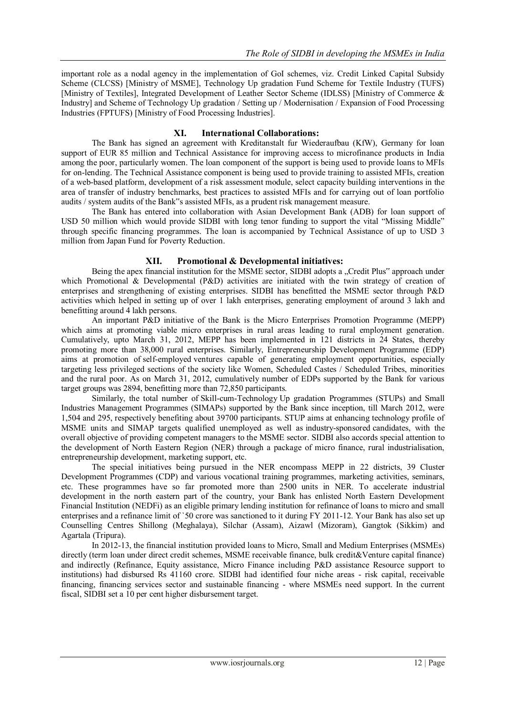important role as a nodal agency in the implementation of GoI schemes, viz. Credit Linked Capital Subsidy Scheme (CLCSS) [Ministry of MSME], Technology Up gradation Fund Scheme for Textile Industry (TUFS) [Ministry of Textiles], Integrated Development of Leather Sector Scheme (IDLSS) [Ministry of Commerce & Industry] and Scheme of Technology Up gradation / Setting up / Modernisation / Expansion of Food Processing Industries (FPTUFS) [Ministry of Food Processing Industries].

#### **XI. International Collaborations:**

The Bank has signed an agreement with Kreditanstalt fur Wiederaufbau (KfW), Germany for loan support of EUR 85 million and Technical Assistance for improving access to microfinance products in India among the poor, particularly women. The loan component of the support is being used to provide loans to MFIs for on-lending. The Technical Assistance component is being used to provide training to assisted MFIs, creation of a web-based platform, development of a risk assessment module, select capacity building interventions in the area of transfer of industry benchmarks, best practices to assisted MFIs and for carrying out of loan portfolio audits / system audits of the Bank"s assisted MFIs, as a prudent risk management measure.

The Bank has entered into collaboration with Asian Development Bank (ADB) for loan support of USD 50 million which would provide SIDBI with long tenor funding to support the vital "Missing Middle" through specific financing programmes. The loan is accompanied by Technical Assistance of up to USD 3 million from Japan Fund for Poverty Reduction.

#### **XII. Promotional & Developmental initiatives:**

Being the apex financial institution for the MSME sector, SIDBI adopts a "Credit Plus" approach under which Promotional & Developmental (P&D) activities are initiated with the twin strategy of creation of enterprises and strengthening of existing enterprises. SIDBI has benefitted the MSME sector through P&D activities which helped in setting up of over 1 lakh enterprises, generating employment of around 3 lakh and benefitting around 4 lakh persons.

An important P&D initiative of the Bank is the Micro Enterprises Promotion Programme (MEPP) which aims at promoting viable micro enterprises in rural areas leading to rural employment generation. Cumulatively, upto March 31, 2012, MEPP has been implemented in 121 districts in 24 States, thereby promoting more than 38,000 rural enterprises. Similarly, Entrepreneurship Development Programme (EDP) aims at promotion of self-employed ventures capable of generating employment opportunities, especially targeting less privileged sections of the society like Women, Scheduled Castes / Scheduled Tribes, minorities and the rural poor. As on March 31, 2012, cumulatively number of EDPs supported by the Bank for various target groups was 2894, benefitting more than 72,850 participants.

Similarly, the total number of Skill-cum-Technology Up gradation Programmes (STUPs) and Small Industries Management Programmes (SIMAPs) supported by the Bank since inception, till March 2012, were 1,504 and 295, respectively benefiting about 39700 participants. STUP aims at enhancing technology profile of MSME units and SIMAP targets qualified unemployed as well as industry-sponsored candidates, with the overall objective of providing competent managers to the MSME sector. SIDBI also accords special attention to the development of North Eastern Region (NER) through a package of micro finance, rural industrialisation, entrepreneurship development, marketing support, etc.

The special initiatives being pursued in the NER encompass MEPP in 22 districts, 39 Cluster Development Programmes (CDP) and various vocational training programmes, marketing activities, seminars, etc. These programmes have so far promoted more than 2500 units in NER. To accelerate industrial development in the north eastern part of the country, your Bank has enlisted North Eastern Development Financial Institution (NEDFi) as an eligible primary lending institution for refinance of loans to micro and small enterprises and a refinance limit of `50 crore was sanctioned to it during FY 2011-12. Your Bank has also set up Counselling Centres Shillong (Meghalaya), Silchar (Assam), Aizawl (Mizoram), Gangtok (Sikkim) and Agartala (Tripura).

In 2012-13, the financial institution provided loans to Micro, Small and Medium Enterprises (MSMEs) directly (term loan under direct credit schemes, MSME receivable finance, bulk credit&Venture capital finance) and indirectly (Refinance, Equity assistance, Micro Finance including P&D assistance Resource support to institutions) had disbursed Rs 41160 crore. SIDBI had identified four niche areas - risk capital, receivable financing, financing services sector and sustainable financing - where MSMEs need support. In the current fiscal, SIDBI set a 10 per cent higher disbursement target.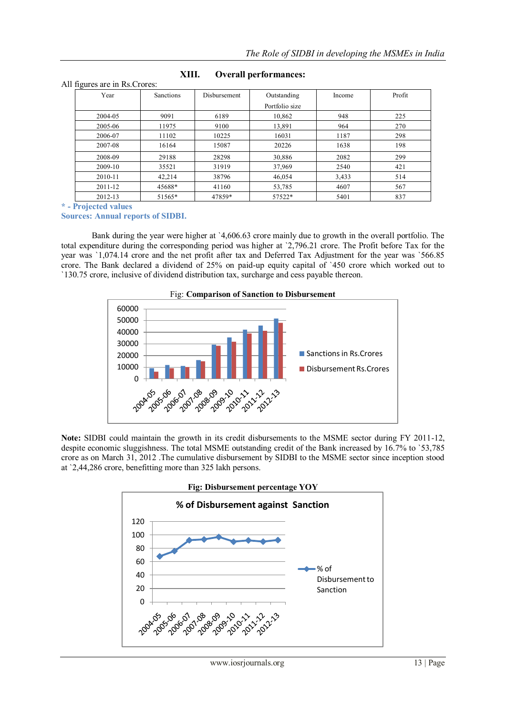| $\tilde{\phantom{a}}$ |           |              |                |        |        |
|-----------------------|-----------|--------------|----------------|--------|--------|
| Year                  | Sanctions | Disbursement | Outstanding    | Income | Profit |
|                       |           |              | Portfolio size |        |        |
| 2004-05               | 9091      | 6189         | 10,862         | 948    | 225    |
| 2005-06               | 11975     | 9100         | 13,891         | 964    | 270    |
| 2006-07               | 11102     | 10225        | 16031          | 1187   | 298    |
| 2007-08               | 16164     | 15087        | 20226          | 1638   | 198    |
| 2008-09               | 29188     | 28298        | 30,886         | 2082   | 299    |
| 2009-10               | 35521     | 31919        | 37,969         | 2540   | 421    |
| 2010-11               | 42,214    | 38796        | 46,054         | 3,433  | 514    |
| 2011-12               | 45688*    | 41160        | 53,785         | 4607   | 567    |
| 2012-13               | 51565*    | 47859*       | 57522*         | 5401   | 837    |

# **XIII. Overall performances:**

**\* - Projected values**

All figures are in Rs.Crores:

**Sources: Annual reports of SIDBI.**

Bank during the year were higher at `4,606.63 crore mainly due to growth in the overall portfolio. The total expenditure during the corresponding period was higher at `2,796.21 crore. The Profit before Tax for the year was `1,074.14 crore and the net profit after tax and Deferred Tax Adjustment for the year was `566.85 crore. The Bank declared a dividend of 25% on paid-up equity capital of `450 crore which worked out to `130.75 crore, inclusive of dividend distribution tax, surcharge and cess payable thereon.



**Note:** SIDBI could maintain the growth in its credit disbursements to the MSME sector during FY 2011-12, despite economic sluggishness. The total MSME outstanding credit of the Bank increased by 16.7% to `53,785 crore as on March 31, 2012 .The cumulative disbursement by SIDBI to the MSME sector since inception stood at `2,44,286 crore, benefitting more than 325 lakh persons.